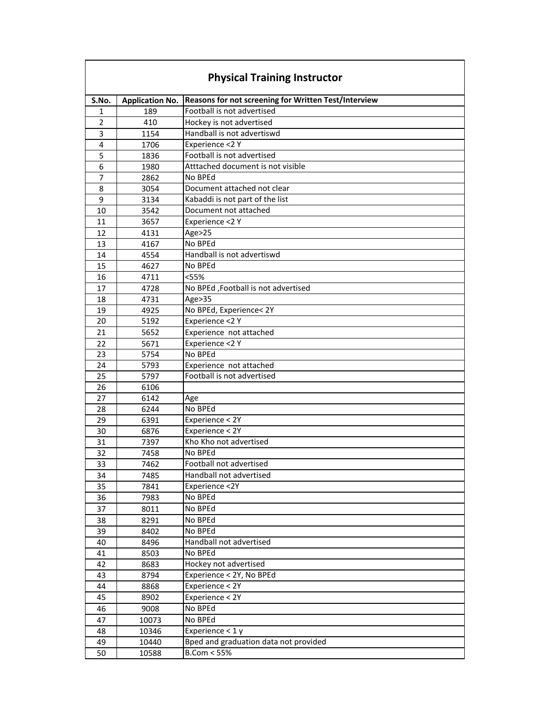| <b>Physical Training Instructor</b> |                        |                                                      |  |
|-------------------------------------|------------------------|------------------------------------------------------|--|
| S.No.                               | <b>Application No.</b> | Reasons for not screening for Written Test/Interview |  |
| 1                                   | 189                    | Football is not advertised                           |  |
| $\overline{2}$                      | 410                    | Hockey is not advertised                             |  |
| 3                                   | 1154                   | Handball is not advertiswd                           |  |
| 4                                   | 1706                   | Experience <2 Y                                      |  |
| 5                                   | 1836                   | Football is not advertised                           |  |
| 6                                   | 1980                   | Atttached document is not visible                    |  |
| $\overline{7}$                      | 2862                   | No BPEd                                              |  |
| 8                                   | 3054                   | Document attached not clear                          |  |
| 9                                   | 3134                   | Kabaddi is not part of the list                      |  |
| 10                                  | 3542                   | Document not attached                                |  |
| 11                                  | 3657                   | Experience <2 Y                                      |  |
| 12                                  | 4131                   | Age>25                                               |  |
| 13                                  | 4167                   | No BPEd                                              |  |
| 14                                  | 4554                   | Handball is not advertiswd                           |  |
| 15                                  | 4627                   | No BPEd                                              |  |
| 16                                  | 4711                   | < 55%                                                |  |
| 17                                  | 4728                   | No BPEd , Football is not advertised                 |  |
| 18                                  |                        | Age>35                                               |  |
|                                     | 4731                   |                                                      |  |
| 19                                  | 4925                   | No BPEd, Experience< 2Y                              |  |
| 20                                  | 5192                   | Experience <2 Y                                      |  |
| 21                                  | 5652                   | Experience not attached                              |  |
| 22                                  | 5671                   | Experience <2 Y                                      |  |
| 23                                  | 5754                   | No BPEd                                              |  |
| 24                                  | 5793                   | Experience not attached                              |  |
| 25                                  | 5797                   | Football is not advertised                           |  |
| 26                                  | 6106                   |                                                      |  |
| 27                                  | 6142                   | Age                                                  |  |
| 28                                  | 6244                   | No BPEd                                              |  |
| 29                                  | 6391                   | Experience < 2Y                                      |  |
| 30                                  | 6876                   | Experience $\overline{2Y}$                           |  |
| 31                                  | 7397                   | Kho Kho not advertised                               |  |
| 32                                  | 7458                   | No BPEd                                              |  |
| 33                                  | 7462                   | Football not advertised                              |  |
| 34                                  | 7485                   | Handball not advertised                              |  |
| 35                                  | 7841                   | Experience <2Y                                       |  |
| 36                                  | 7983                   | No BPEd                                              |  |
| 37                                  | 8011                   | No BPEd                                              |  |
| 38                                  | 8291                   | No BPEd                                              |  |
| 39                                  | 8402                   | No BPEd                                              |  |
| 40                                  | 8496                   | Handball not advertised                              |  |
| 41                                  | 8503                   | No BPEd                                              |  |
| 42                                  | 8683                   | Hockey not advertised                                |  |
| 43                                  | 8794                   | Experience < 2Y, No BPEd                             |  |
| 44                                  | 8868                   | Experience < 2Y                                      |  |
| 45                                  | 8902                   | Experience < 2Y                                      |  |
| 46                                  | 9008                   | No BPEd                                              |  |
| 47                                  | 10073                  | No BPEd                                              |  |
|                                     |                        |                                                      |  |
| 48                                  | 10346                  | Experience $<$ 1 y                                   |  |
| 49                                  | 10440                  | Bped and graduation data not provided                |  |
| 50                                  | 10588                  | $B.$ Com < 55%                                       |  |